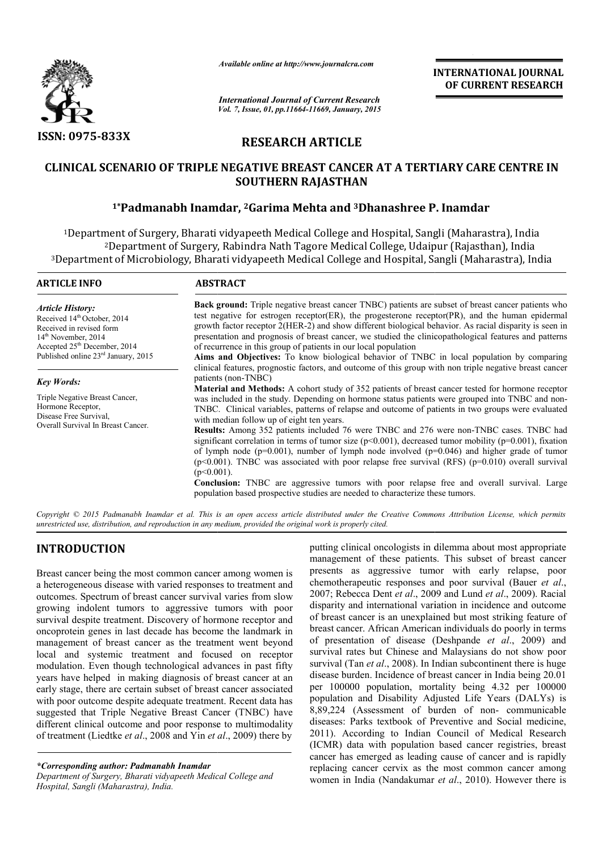

*Available online at http://www.journalcra.com*

*International Journal of Current Research Vol. 7, Issue, 01, pp.11664-11669, January, 2015* **INTERNATIONAL INTERNATIONAL JOURNAL OF CURRENT RESEARCH** 

# **RESEARCH ARTICLE**

# **CLINICAL SCENARIO OF TRIPLE NEGATIVE BREAST CANCER AT A TERTIARY CARE CENTRE IN SOUTHERN RAJASTHAN**

# <sup>1</sup>\*Padmanabh Inamdar, <sup>2</sup>Garima Mehta and <sup>3</sup>Dhanashree P. Inamdar

1Department of Surgery, Bharati vidyapeeth Medical College and Hospital, Sangli (Maharastra) (Maharastra), India <sup>2</sup>Department of Surgery, Rabindra Nath Tagore Medical College, Udaipur (Rajasthan), India 3Department of Microbiology, Bharati vidyapeeth Medical College and Hospital, Sangli (Maharastra) (Maharastra), India

| <b>ARTICLE INFO</b>                                                                                                                                                           | <b>ABSTRACT</b>                                                                                                                                                                                                                                                                                                                                                                                                                                                                                    |  |  |  |
|-------------------------------------------------------------------------------------------------------------------------------------------------------------------------------|----------------------------------------------------------------------------------------------------------------------------------------------------------------------------------------------------------------------------------------------------------------------------------------------------------------------------------------------------------------------------------------------------------------------------------------------------------------------------------------------------|--|--|--|
| <b>Article History:</b><br>Received 14 <sup>th</sup> October, 2014<br>Received in revised form<br>14 <sup>th</sup> November, 2014<br>Accepted 25 <sup>th</sup> December, 2014 | <b>Back ground:</b> Triple negative breast cancer TNBC) patients are subset of breast cancer patients who<br>test negative for estrogen receptor(ER), the progesterone receptor(PR), and the human epidermal<br>growth factor receptor 2(HER-2) and show different biological behavior. As racial disparity is seen in<br>presentation and prognosis of breast cancer, we studied the clinicopathological features and patterns<br>of recurrence in this group of patients in our local population |  |  |  |
| Published online 23 <sup>rd</sup> January, 2015                                                                                                                               | <b>Aims and Objectives:</b> To know biological behavior of TNBC in local population by comparing<br>clinical features, prognostic factors, and outcome of this group with non triple negative breast cancer                                                                                                                                                                                                                                                                                        |  |  |  |
| <b>Key Words:</b>                                                                                                                                                             | patients (non-TNBC)<br><b>Material and Methods:</b> A cohort study of 352 patients of breast cancer tested for hormone receptor                                                                                                                                                                                                                                                                                                                                                                    |  |  |  |
| Triple Negative Breast Cancer,<br>Hormone Receptor,<br>Disease Free Survival,                                                                                                 | was included in the study. Depending on hormone status patients were grouped into TNBC and non-<br>TNBC. Clinical variables, patterns of relapse and outcome of patients in two groups were evaluated<br>with median follow up of eight ten years.                                                                                                                                                                                                                                                 |  |  |  |
| Overall Survival In Breast Cancer.                                                                                                                                            | <b>Results:</b> Among 352 patients included 76 were TNBC and 276 were non-TNBC cases. TNBC had<br>significant correlation in terms of tumor size ( $p<0.001$ ), decreased tumor mobility ( $p=0.001$ ), fixation<br>of lymph node ( $p=0.001$ ), number of lymph node involved ( $p=0.046$ ) and higher grade of tumor<br>$(p<0.001)$ . TNBC was associated with poor relapse free survival (RFS) $(p=0.010)$ overall survival<br>$(p<0.001)$ .                                                    |  |  |  |
|                                                                                                                                                                               | <b>Conclusion:</b> TNBC are aggressive tumors with poor relapse free and overall survival. Large<br>population based prospective studies are needed to characterize these tumors.                                                                                                                                                                                                                                                                                                                  |  |  |  |

Copyright © 2015 Padmanabh Inamdar et al. This is an open access article distributed under the Creative Commons Attribution License, which permits *unrestricted use, distribution, and reproduction in any medium, provided the original work is properly cited.*

# **INTRODUCTION**

Breast cancer being the most common cancer among women is a heterogeneous disease with varied responses to treatment and outcomes. Spectrum of breast cancer survival varies from slow growing indolent tumors to aggressive tumors with poor survival despite treatment. Discovery of hormone receptor and oncoprotein genes in last decade has become the landmark in management of breast cancer as the treatment went beyond local and systemic treatment and focused on receptor modulation. Even though technological advances in past fifty years have helped in making diagnosis of breast cancer at an early stage, there are certain subset of breast cancer associated with poor outcome despite adequate treatment. Recent data has suggested that Triple Negative Breast Cancer (TNBC) have different clinical outcome and poor response to multimodality of treatment (Liedtke *et al*., 2008 and Yin *et al* nd systemic treatment and focused on receptor<br>ion. Even though technological advances in past fifty<br>we helped in making diagnosis of breast cancer at an<br>age, there are certain subset of breast cancer associated<br>or outcome

*\*Corresponding author: Padmanabh Inamdar*

*Department of Surgery, Bharati vidyapeeth Medical College and Hospital, Sangli (Maharastra), India.*

putting clinical oncologists in dilemma about most appropriate management of these patients. This subset of breast cancer presents as aggressive tumor with early relapse, poor putting clinical oncologists in dilemma about most appropriate management of these patients. This subset of breast cancer presents as aggressive tumor with early relapse, poor chemotherapeutic responses and poor survival ( 2007; Rebecca Dent et al., 2009 and Lund et al., 2009). Racial disparity and international variation in incidence and outcome of breast cancer is an unexplained but most striking feature of breast cancer. African American individuals do poorly in terms of breast cancer is an unexplained but most striking feature of breast cancer. African American individuals do poorly in terms of presentation of disease (Deshpande *et al.*, 2009) and survival rates but Chinese and Malaysians do not show poor survival (Tan *et al*., 2008). In Indian subcontinent there is huge disease burden. Incidence of breast cancer in India being 20.01 per 100000 population, mortality being 4.32 per 100000 population and Disability Adjusted Life Years (DALYs) is survival (Tan *et al.*, 2008). In Indian subcontinent there is huge disease burden. Incidence of breast cancer in India being 20.01 per 100000 population, mortality being 4.32 per 100000 population and Disability Adjusted diseases: Parks textbook of Preventive and Social medicine, 2011). According to Indian Council of Medical Research (ICMR) data with population based cancer registries, breast 2011). According to Indian Council of Medical Research (ICMR) data with population based cancer registries, breast cancer has emerged as leading cause of cancer and is rapidly replacing cancer cervix as the most common cancer among women in India (Nandakumar *et al*., 2010). However there is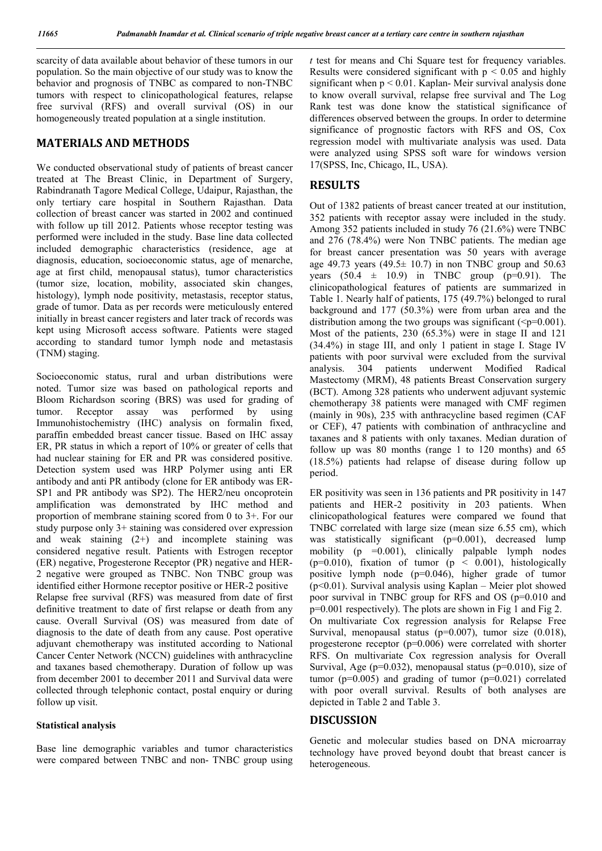scarcity of data available about behavior of these tumors in our population. So the main objective of our study was to know the behavior and prognosis of TNBC as compared to non-TNBC tumors with respect to clinicopathological features, relapse free survival (RFS) and overall survival (OS) in our homogeneously treated population at a single institution.

### **MATERIALS AND METHODS**

We conducted observational study of patients of breast cancer treated at The Breast Clinic, in Department of Surgery, Rabindranath Tagore Medical College, Udaipur, Rajasthan, the only tertiary care hospital in Southern Rajasthan. Data collection of breast cancer was started in 2002 and continued with follow up till 2012. Patients whose receptor testing was performed were included in the study. Base line data collected included demographic characteristics (residence, age at diagnosis, education, socioeconomic status, age of menarche, age at first child, menopausal status), tumor characteristics (tumor size, location, mobility, associated skin changes, histology), lymph node positivity, metastasis, receptor status, grade of tumor. Data as per records were meticulously entered initially in breast cancer registers and later track of records was kept using Microsoft access software. Patients were staged according to standard tumor lymph node and metastasis (TNM) staging.

Socioeconomic status, rural and urban distributions were noted. Tumor size was based on pathological reports and Bloom Richardson scoring (BRS) was used for grading of tumor. Receptor assay was performed by using Immunohistochemistry (IHC) analysis on formalin fixed, paraffin embedded breast cancer tissue. Based on IHC assay ER, PR status in which a report of 10% or greater of cells that had nuclear staining for ER and PR was considered positive. Detection system used was HRP Polymer using anti ER antibody and anti PR antibody (clone for ER antibody was ER-SP1 and PR antibody was SP2). The HER2/neu oncoprotein amplification was demonstrated by IHC method and proportion of membrane staining scored from 0 to 3+. For our study purpose only 3+ staining was considered over expression and weak staining (2+) and incomplete staining was considered negative result. Patients with Estrogen receptor (ER) negative, Progesterone Receptor (PR) negative and HER-2 negative were grouped as TNBC. Non TNBC group was identified either Hormone receptor positive or HER-2 positive Relapse free survival (RFS) was measured from date of first definitive treatment to date of first relapse or death from any cause. Overall Survival (OS) was measured from date of diagnosis to the date of death from any cause. Post operative adjuvant chemotherapy was instituted according to National Cancer Center Network (NCCN) guidelines with anthracycline and taxanes based chemotherapy. Duration of follow up was from december 2001 to december 2011 and Survival data were collected through telephonic contact, postal enquiry or during follow up visit.

#### **Statistical analysis**

Base line demographic variables and tumor characteristics were compared between TNBC and non- TNBC group using *t* test for means and Chi Square test for frequency variables. Results were considered significant with  $p < 0.05$  and highly significant when  $p < 0.01$ . Kaplan-Meir survival analysis done to know overall survival, relapse free survival and The Log Rank test was done know the statistical significance of differences observed between the groups. In order to determine significance of prognostic factors with RFS and OS, Cox regression model with multivariate analysis was used. Data were analyzed using SPSS soft ware for windows version 17(SPSS, Inc, Chicago, IL, USA).

### **RESULTS**

Out of 1382 patients of breast cancer treated at our institution, 352 patients with receptor assay were included in the study. Among 352 patients included in study 76 (21.6%) were TNBC and 276 (78.4%) were Non TNBC patients. The median age for breast cancer presentation was 50 years with average age 49.73 years (49.5 $\pm$  10.7) in non TNBC group and 50.63 years  $(50.4 \pm 10.9)$  in TNBC group  $(p=0.91)$ . The clinicopathological features of patients are summarized in Table 1. Nearly half of patients, 175 (49.7%) belonged to rural background and 177 (50.3%) were from urban area and the distribution among the two groups was significant  $(\leq p=0.001)$ . Most of the patients, 230 (65.3%) were in stage II and 121 (34.4%) in stage III, and only 1 patient in stage I. Stage IV patients with poor survival were excluded from the survival analysis. 304 patients underwent Modified Radical Mastectomy (MRM), 48 patients Breast Conservation surgery (BCT). Among 328 patients who underwent adjuvant systemic chemotherapy 38 patients were managed with CMF regimen (mainly in 90s), 235 with anthracycline based regimen (CAF or CEF), 47 patients with combination of anthracycline and taxanes and 8 patients with only taxanes. Median duration of follow up was 80 months (range 1 to 120 months) and 65 (18.5%) patients had relapse of disease during follow up period.

ER positivity was seen in 136 patients and PR positivity in 147 patients and HER-2 positivity in 203 patients. When clinicopathological features were compared we found that TNBC correlated with large size (mean size 6.55 cm), which was statistically significant (p=0.001), decreased lump mobility (p =0.001), clinically palpable lymph nodes (p=0.010), fixation of tumor (p < 0.001), histologically positive lymph node (p=0.046), higher grade of tumor (p<0.01). Survival analysis using Kaplan – Meier plot showed poor survival in TNBC group for RFS and OS (p=0.010 and p=0.001 respectively). The plots are shown in Fig 1 and Fig 2. On multivariate Cox regression analysis for Relapse Free Survival, menopausal status (p=0.007), tumor size (0.018), progesterone receptor (p=0.006) were correlated with shorter RFS. On multivariate Cox regression analysis for Overall Survival, Age ( $p=0.032$ ), menopausal status ( $p=0.010$ ), size of tumor ( $p=0.005$ ) and grading of tumor ( $p=0.021$ ) correlated with poor overall survival. Results of both analyses are depicted in Table 2 and Table 3.

### **DISCUSSION**

Genetic and molecular studies based on DNA microarray technology have proved beyond doubt that breast cancer is heterogeneous.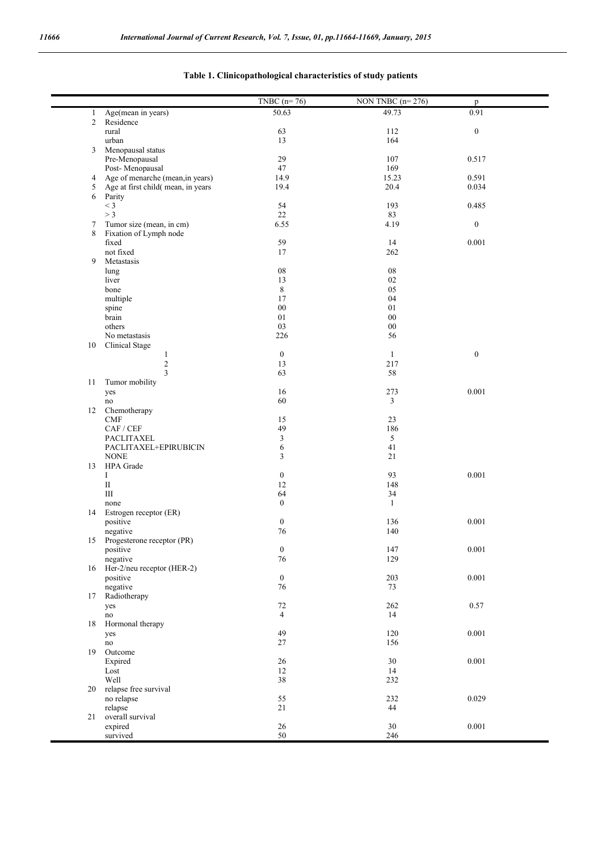|                |                                   | $TNBC$ (n= 76)   | NON TNBC $(n=276)$ | p                |  |
|----------------|-----------------------------------|------------------|--------------------|------------------|--|
| $\mathbf{1}$   | Age(mean in years)                | 50.63            | 49.73              | 0.91             |  |
| $\overline{c}$ | Residence                         |                  |                    |                  |  |
|                | rural                             | 63               | 112                | $\boldsymbol{0}$ |  |
|                | urban                             | 13               | 164                |                  |  |
| 3              | Menopausal status                 |                  |                    |                  |  |
|                | Pre-Menopausal                    | 29               | 107                | 0.517            |  |
|                | Post-Menopausal                   | 47               | 169                |                  |  |
| 4              | Age of menarche (mean, in years)  | 14.9             | 15.23              | 0.591            |  |
| 5              | Age at first child(mean, in years | 19.4             | 20.4               | 0.034            |  |
| 6              | Parity                            |                  |                    |                  |  |
|                | $<$ 3                             | 54               | 193                | 0.485            |  |
|                | > 3                               | 22               | 83                 |                  |  |
| 7              | Tumor size (mean, in cm)          | 6.55             | 4.19               | $\boldsymbol{0}$ |  |
| 8              | Fixation of Lymph node            |                  |                    |                  |  |
|                | fixed                             | 59               | 14                 | 0.001            |  |
|                | not fixed                         | 17               | 262                |                  |  |
| 9              | Metastasis                        |                  |                    |                  |  |
|                | lung                              | ${\bf 08}$       | ${\bf 08}$         |                  |  |
|                | liver                             | 13               | $02\,$             |                  |  |
|                | bone                              | 8                | 05                 |                  |  |
|                | multiple                          | 17               | 04                 |                  |  |
|                | spine                             | 00               | 01                 |                  |  |
|                | brain                             | 01               | 00                 |                  |  |
|                | others                            | 03               | ${\bf 00}$         |                  |  |
|                | No metastasis                     | 226              | 56                 |                  |  |
| 10             | Clinical Stage                    |                  |                    |                  |  |
|                | $\mathbf{1}$                      | $\boldsymbol{0}$ | $\mathbf{1}$       | $\boldsymbol{0}$ |  |
|                | $\sqrt{2}$                        | 13               | 217                |                  |  |
|                | $\overline{3}$                    | 63               | 58                 |                  |  |
| 11             | Tumor mobility                    |                  |                    |                  |  |
|                | yes                               | 16               | 273                | 0.001            |  |
|                | no                                | 60               | 3                  |                  |  |
| 12             | Chemotherapy                      |                  |                    |                  |  |
|                | <b>CMF</b>                        | 15               | 23                 |                  |  |
|                | CAF / CEF                         | 49               | 186                |                  |  |
|                | PACLITAXEL                        | $\mathfrak{Z}$   | 5                  |                  |  |
|                | PACLITAXEL+EPIRUBICIN             | 6                | 41                 |                  |  |
|                | <b>NONE</b>                       | 3                | 21                 |                  |  |
| 13             | HPA Grade                         |                  |                    |                  |  |
|                | I                                 | $\boldsymbol{0}$ | 93                 | 0.001            |  |
|                | $\rm II$                          | 12               | 148                |                  |  |
|                | $\rm III$                         | 64               | 34                 |                  |  |
|                | none                              | $\boldsymbol{0}$ | $\mathbf{1}$       |                  |  |
| 14             | Estrogen receptor (ER)            |                  |                    |                  |  |
|                | positive                          | $\boldsymbol{0}$ | 136                | 0.001            |  |
|                | negative                          | 76               | 140                |                  |  |
| 15             | Progesterone receptor (PR)        |                  |                    |                  |  |
|                | positive                          | $\boldsymbol{0}$ | 147                | 0.001            |  |
|                | negative                          | 76               | 129                |                  |  |
| 16             | Her-2/neu receptor (HER-2)        |                  |                    |                  |  |
|                | positive                          | $\boldsymbol{0}$ | 203                | 0.001            |  |
|                | negative                          | 76               | 73                 |                  |  |
| 17             | Radiotherapy                      |                  |                    |                  |  |
|                | yes                               | 72               | 262                | 0.57             |  |
|                | no                                | $\overline{4}$   | 14                 |                  |  |
| 18             | Hormonal therapy                  |                  |                    |                  |  |
|                | yes                               | 49               | 120                | 0.001            |  |
|                | no                                | 27               | 156                |                  |  |
| 19             | Outcome                           |                  |                    |                  |  |
|                | Expired                           | 26               | 30                 | 0.001            |  |
|                | Lost                              | 12               | 14                 |                  |  |
|                | Well                              | 38               | 232                |                  |  |
| 20             | relapse free survival             | 55               | 232                | 0.029            |  |
|                | no relapse<br>relapse             | 21               | 44                 |                  |  |
| 21             | overall survival                  |                  |                    |                  |  |
|                | expired                           | 26               | 30                 | 0.001            |  |
|                |                                   |                  |                    |                  |  |

survived 246

# **Table 1. Clinicopathological characteristics of study patients**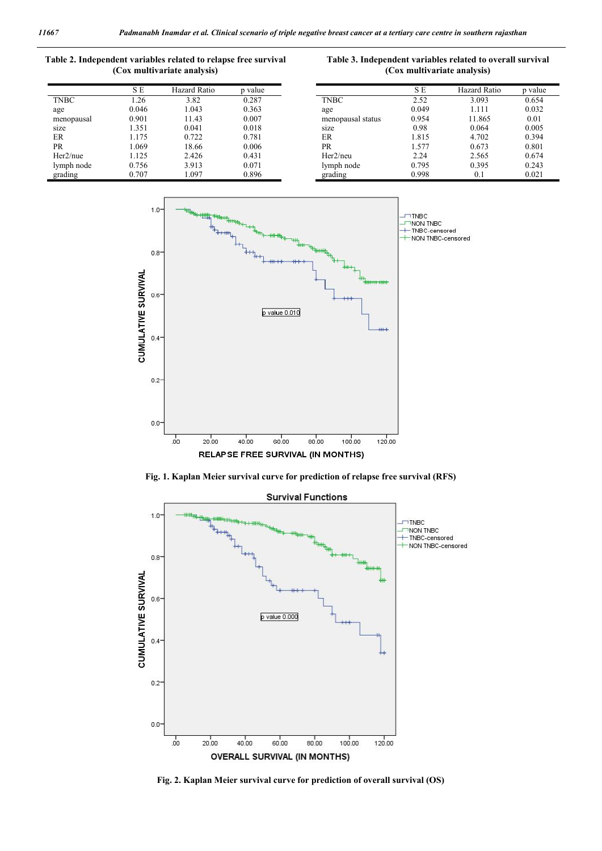**Table 2. Independent variables related to relapse free survival (Cox multivariate analysis)**

**Table 3. Independent variables related to overall survival (Cox multivariate analysis)**

|             | S E   | Hazard Ratio | p value |
|-------------|-------|--------------|---------|
| <b>TNBC</b> | 1.26  | 3.82         | 0.287   |
| age         | 0.046 | 1.043        | 0.363   |
| menopausal  | 0.901 | 11.43        | 0.007   |
| size        | 1.351 | 0.041        | 0.018   |
| ER          | 1.175 | 0.722        | 0.781   |
| PR          | 1.069 | 18.66        | 0.006   |
| Her2/nue    | 1.125 | 2.426        | 0.431   |
| lymph node  | 0.756 | 3.913        | 0.071   |
| grading     | 0.707 | 1.097        | 0.896   |

|                   | S E   | Hazard Ratio | value |
|-------------------|-------|--------------|-------|
| <b>TNBC</b>       | 2.52  | 3.093        | 0.654 |
| age               | 0.049 | 1.111        | 0.032 |
| menopausal status | 0.954 | 11.865       | 0.01  |
| size              | 0.98  | 0.064        | 0.005 |
| <b>ER</b>         | 1.815 | 4.702        | 0.394 |
| <b>PR</b>         | 1.577 | 0.673        | 0.801 |
| Her2/neu          | 2.24  | 2.565        | 0.674 |
| lymph node        | 0.795 | 0.395        | 0.243 |
| grading           | 0.998 | 0.1          | 0.021 |



**Fig. 1. Kaplan Meier survival curve for prediction of relapse free survival (RFS)**



**Fig. 2. Kaplan Meier survival curve for prediction of overall survival (OS)**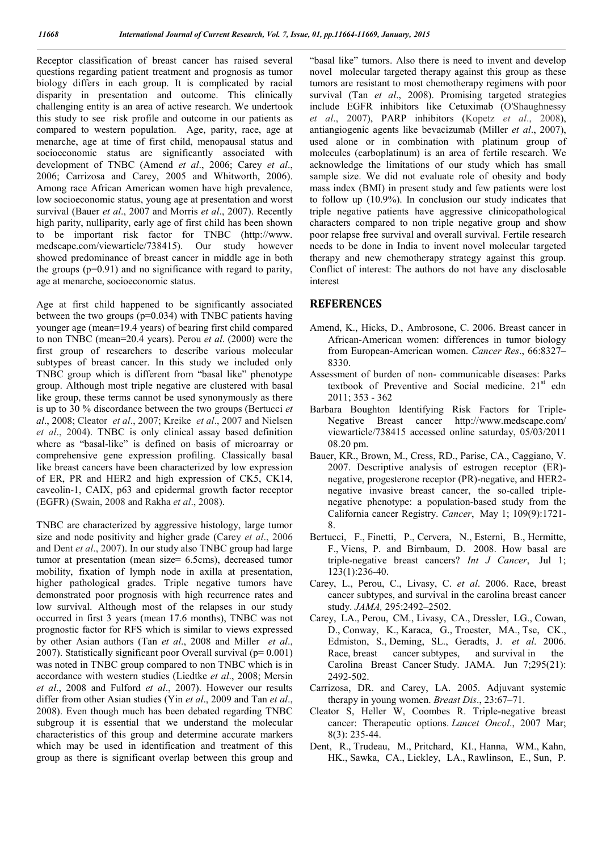Receptor classification of breast cancer has raised several questions regarding patient treatment and prognosis as tumor biology differs in each group. It is complicated by racial disparity in presentation and outcome. This clinically challenging entity is an area of active research. We undertook this study to see risk profile and outcome in our patients as compared to western population. Age, parity, race, age at menarche, age at time of first child, menopausal status and socioeconomic status are significantly associated with development of TNBC (Amend *et al*., 2006; Carey *et al*., 2006; Carrizosa and Carey, 2005 and Whitworth, 2006). Among race African American women have high prevalence, low socioeconomic status, young age at presentation and worst survival (Bauer *et al*., 2007 and Morris *et al*., 2007). Recently high parity, nulliparity, early age of first child has been shown to be important risk factor for TNBC (http://www. medscape.com/viewarticle/738415). Our study however showed predominance of breast cancer in middle age in both the groups  $(p=0.91)$  and no significance with regard to parity, age at menarche, socioeconomic status.

Age at first child happened to be significantly associated between the two groups (p=0.034) with TNBC patients having younger age (mean=19.4 years) of bearing first child compared to non TNBC (mean=20.4 years). Perou *et al*. (2000) were the first group of researchers to describe various molecular subtypes of breast cancer. In this study we included only TNBC group which is different from "basal like" phenotype group. Although most triple negative are clustered with basal like group, these terms cannot be used synonymously as there is up to 30 % discordance between the two groups (Bertucci *et al*., 2008; Cleator *et al*., 2007; Kreike *et al*., 2007 and Nielsen *et al*., 2004). TNBC is only clinical assay based definition where as "basal-like" is defined on basis of microarray or comprehensive gene expression profiling. Classically basal like breast cancers have been characterized by low expression of ER, PR and HER2 and high expression of CK5, CK14, caveolin-1, CAIX, p63 and epidermal growth factor receptor (EGFR) (Swain, 2008 and Rakha *et al*., 2008).

TNBC are characterized by aggressive histology, large tumor size and node positivity and higher grade (Carey *et al*., 2006 and Dent *et al*., 2007). In our study also TNBC group had large tumor at presentation (mean size= 6.5cms), decreased tumor mobility, fixation of lymph node in axilla at presentation, higher pathological grades. Triple negative tumors have demonstrated poor prognosis with high recurrence rates and low survival. Although most of the relapses in our study occurred in first 3 years (mean 17.6 months), TNBC was not prognostic factor for RFS which is similar to views expressed by other Asian authors (Tan *et al*., 2008 and Miller *et al*., 2007). Statistically significant poor Overall survival  $(p= 0.001)$ was noted in TNBC group compared to non TNBC which is in accordance with western studies (Liedtke *et al*., 2008; Mersin *et al*., 2008 and Fulford *et al*., 2007). However our results differ from other Asian studies (Yin *et al*., 2009 and Tan *et al*., 2008). Even though much has been debated regarding TNBC subgroup it is essential that we understand the molecular characteristics of this group and determine accurate markers which may be used in identification and treatment of this group as there is significant overlap between this group and

"basal like" tumors. Also there is need to invent and develop novel molecular targeted therapy against this group as these tumors are resistant to most chemotherapy regimens with poor survival (Tan *et al*., 2008). Promising targeted strategies include EGFR inhibitors like Cetuximab (O'Shaughnessy *et al*., 2007), PARP inhibitors (Kopetz *et al*., 2008), antiangiogenic agents like bevacizumab (Miller *et al*., 2007), used alone or in combination with platinum group of molecules (carboplatinum) is an area of fertile research. We acknowledge the limitations of our study which has small sample size. We did not evaluate role of obesity and body mass index (BMI) in present study and few patients were lost to follow up (10.9%). In conclusion our study indicates that triple negative patients have aggressive clinicopathological characters compared to non triple negative group and show poor relapse free survival and overall survival. Fertile research needs to be done in India to invent novel molecular targeted therapy and new chemotherapy strategy against this group. Conflict of interest: The authors do not have any disclosable interest

### **REFERENCES**

- Amend, K., Hicks, D., Ambrosone, C. 2006. Breast cancer in African-American women: differences in tumor biology from European-American women. *Cancer Res*., 66:8327– 8330.
- Assessment of burden of non- communicable diseases: Parks textbook of Preventive and Social medicine. 21<sup>st</sup> edn 2011; 353 - 362
- Barbara Boughton Identifying Risk Factors for Triple-Negative Breast cancer http://www.medscape.com/ viewarticle/738415 accessed online saturday, 05/03/2011 08.20 pm.
- Bauer, KR., Brown, M., Cress, RD., Parise, CA., Caggiano, V. 2007. Descriptive analysis of estrogen receptor (ER) negative, progesterone receptor (PR)-negative, and HER2 negative invasive breast cancer, the so-called triplenegative phenotype: a population-based study from the California cancer Registry. *Cancer*, May 1; 109(9):1721- 8.
- Bertucci, F., Finetti, P., Cervera, N., Esterni, B., Hermitte, F., Viens, P. and Birnbaum, D. 2008. How basal are triple-negative breast cancers? *Int J Cancer*, Jul 1; 123(1):236-40.
- Carey, L., Perou, C., Livasy, C. *et al*. 2006. Race, breast cancer subtypes, and survival in the carolina breast cancer study. *JAMA,* 295:2492–2502.
- Carey, LA., Perou, CM., Livasy, CA., Dressler, LG., Cowan, D., Conway, K., Karaca, G., Troester, MA., Tse, CK., Edmiston, S., Deming, SL., Geradts, J. *et al*. 2006. Race, breast cancer subtypes, and survival in the Carolina Breast Cancer Study. JAMA. Jun 7;295(21): 2492-502.
- Carrizosa, DR. and Carey, LA. 2005. Adjuvant systemic therapy in young women. *Breast Dis*., 23:67–71.
- Cleator S, Heller W, Coombes R. Triple-negative breast cancer: Therapeutic options. *Lancet Oncol*., 2007 Mar; 8(3): 235-44.
- Dent, R., Trudeau, M., Pritchard, KI., Hanna, WM., Kahn, HK., Sawka, CA., Lickley, LA., Rawlinson, E., Sun, P.